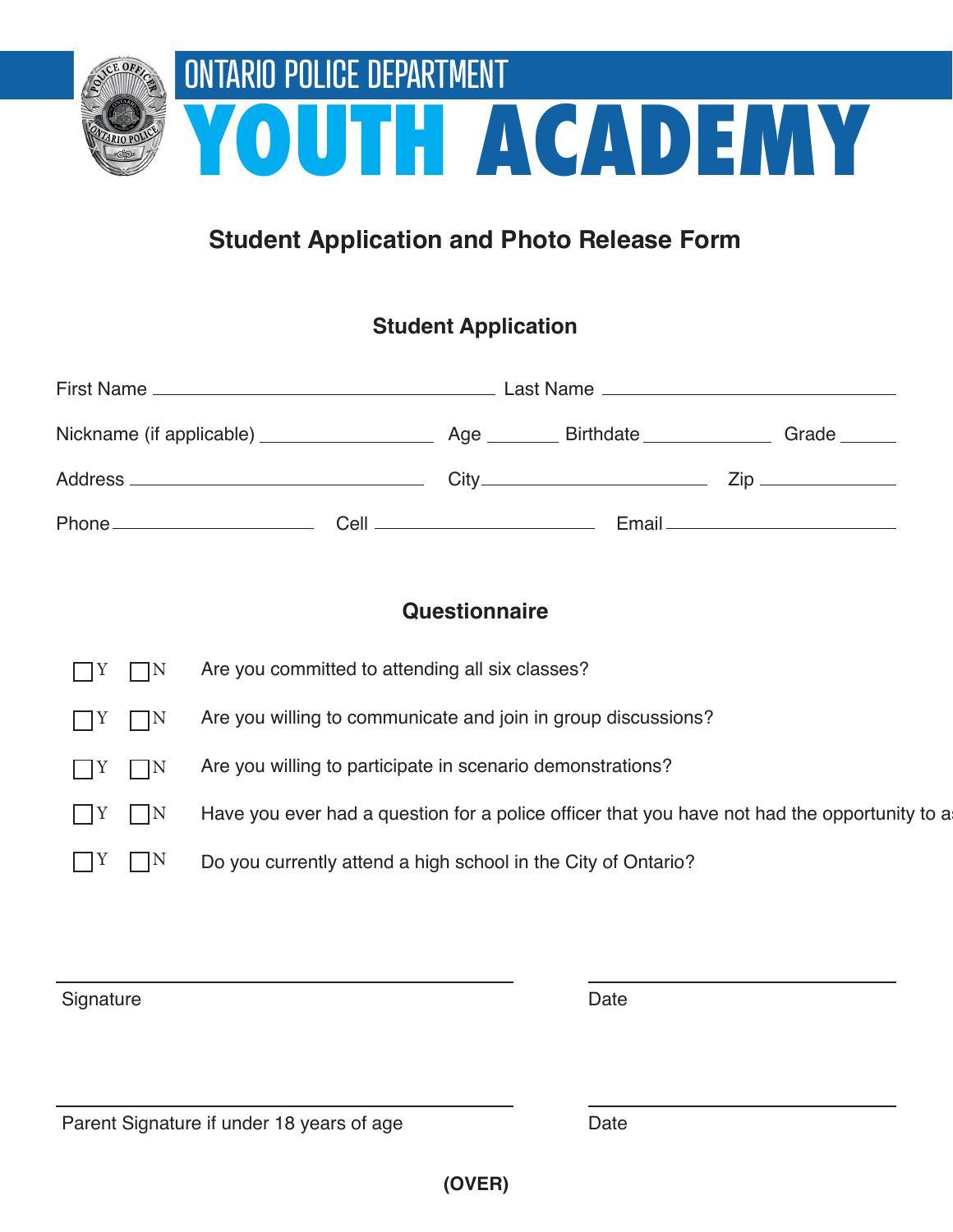

## **Student Application and Photo Release Form**

## **Student Application**

| Nickname (if applicable) _____________________ |  |  | Age Birthdate | Grade ______ |
|------------------------------------------------|--|--|---------------|--------------|
|                                                |  |  |               |              |
|                                                |  |  |               |              |

## **Questionnaire**

| $\Box Y$<br>$\Box N$        | Are you committed to attending all six classes?                                              |
|-----------------------------|----------------------------------------------------------------------------------------------|
| $ $ $ $ $ $ $Y$ $ $ $ $ $N$ | Are you willing to communicate and join in group discussions?                                |
| $\Box Y$ $\Box N$           | Are you willing to participate in scenario demonstrations?                                   |
| $\vert$ $\vert$ Y $\vert$ N | Have you ever had a question for a police officer that you have not had the opportunity to a |
|                             | Do you currently attend a high school in the City of Ontario?                                |
|                             |                                                                                              |

**Signature** 

Date

Date

Parent Signature if under 18 years of age

**(OVER)**